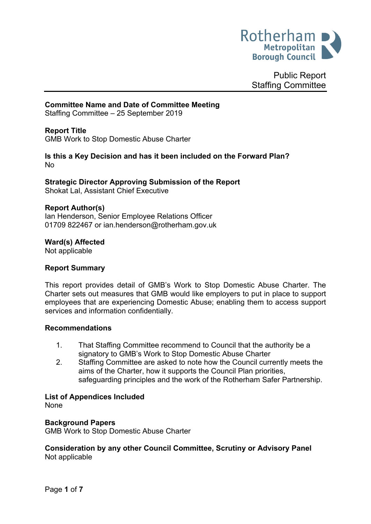

Public Report Staffing Committee

## **Committee Name and Date of Committee Meeting**

Staffing Committee – 25 September 2019

## **Report Title**

<span id="page-0-0"></span>GMB Work to Stop Domestic Abuse Charter

#### **Is this a Key Decision and has it been included on the Forward Plan?** No

# **Strategic Director Approving Submission of the Report**

Shokat Lal, Assistant Chief Executive

### **Report Author(s)**

<span id="page-0-1"></span>Ian Henderson, Senior Employee Relations Officer 01709 822467 or ian.henderson@rotherham.gov.uk

#### **Ward(s) Affected**

Not applicable

# **Report Summary**

This report provides detail of GMB's Work to Stop Domestic Abuse Charter. The Charter sets out measures that GMB would like employers to put in place to support employees that are experiencing Domestic Abuse; enabling them to access support services and information confidentially.

#### **Recommendations**

- 1. That Staffing Committee recommend to Council that the authority be a signatory to GMB's Work to Stop Domestic Abuse Charter
- 2. Staffing Committee are asked to note how the Council currently meets the aims of the Charter, how it supports the Council Plan priorities, safeguarding principles and the work of the Rotherham Safer Partnership.

#### **List of Appendices Included**

None

#### **Background Papers**

GMB Work to Stop Domestic Abuse Charter

# **Consideration by any other Council Committee, Scrutiny or Advisory Panel** Not applicable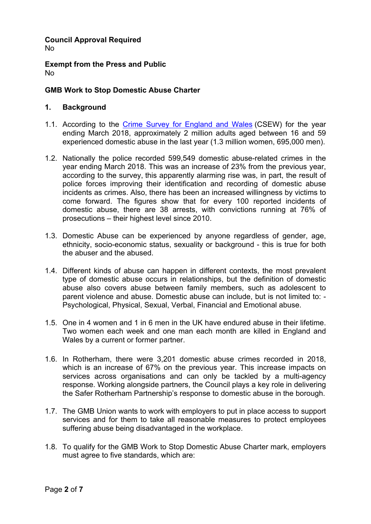#### **Council Approval Required** No

**Exempt from the Press and Public** No

# **GMB Work to Stop [Domestic](#page-0-0) Abuse Charter**

# **1. Background**

- 1.1. According to the Crime Survey for [England](https://www.ons.gov.uk/peoplepopulationandcommunity/crimeandjustice/bulletins/domesticabuseinenglandandwales/yearendingmarch2018) and Wales (CSEW) for the year ending March 2018, approximately 2 million adults aged between 16 and 59 experienced domestic abuse in the last year (1.3 million women, 695,000 men).
- 1.2. Nationally the police recorded 599,549 domestic abuse-related crimes in the year ending March 2018. This was an increase of 23% from the previous year, according to the survey, this apparently alarming rise was, in part, the result of police forces improving their identification and recording of domestic abuse incidents as crimes. Also, there has been an increased willingness by victims to come forward. The figures show that for every 100 reported incidents of domestic abuse, there are 38 arrests, with convictions running at 76% of prosecutions – their highest level since 2010.
- 1.3. Domestic Abuse can be experienced by anyone regardless of gender, age, ethnicity, socio-economic status, sexuality or background - this is true for both the abuser and the abused.
- 1.4. Different kinds of abuse can happen in different contexts, the most prevalent type of domestic abuse occurs in relationships, but the definition of domestic abuse also covers abuse between family members, such as adolescent to parent violence and abuse. Domestic abuse can include, but is not limited to: - Psychological, Physical, Sexual, Verbal, Financial and Emotional abuse.
- 1.5. One in 4 women and 1 in 6 men in the UK have endured abuse in their lifetime. Two women each week and one man each month are killed in England and Wales by a current or former partner.
- 1.6. In Rotherham, there were 3,201 domestic abuse crimes recorded in 2018, which is an increase of 67% on the previous year. This increase impacts on services across organisations and can only be tackled by a multi-agency response. Working alongside partners, the Council plays a key role in delivering the Safer Rotherham Partnership's response to domestic abuse in the borough.
- 1.7. The GMB Union wants to work with employers to put in place access to support services and for them to take all reasonable measures to protect employees suffering abuse being disadvantaged in the workplace.
- 1.8. To qualify for the GMB Work to Stop Domestic Abuse Charter mark, employers must agree to five standards, which are: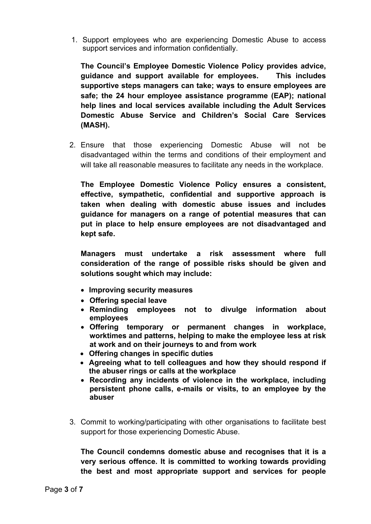1. Support employees who are experiencing Domestic Abuse to access support services and information confidentially.

**The Council's Employee Domestic Violence Policy provides advice, guidance and support available for employees. This includes supportive steps managers can take; ways to ensure employees are safe; the 24 hour employee assistance programme (EAP); national help lines and local services available including the Adult Services Domestic Abuse Service and Children's Social Care Services (MASH).**

2. Ensure that those experiencing Domestic Abuse will not be disadvantaged within the terms and conditions of their employment and will take all reasonable measures to facilitate any needs in the workplace.

**The Employee Domestic Violence Policy ensures a consistent, effective, sympathetic, confidential and supportive approach is taken when dealing with domestic abuse issues and includes guidance for managers on a range of potential measures that can put in place to help ensure employees are not disadvantaged and kept safe.**

**Managers must undertake a risk assessment where full consideration of the range of possible risks should be given and solutions sought which may include:**

- **Improving security measures**
- **Offering special leave**
- **Reminding employees not to divulge information about employees**
- **Offering temporary or permanent changes in workplace, worktimes and patterns, helping to make the employee less at risk at work and on their journeys to and from work**
- **Offering changes in specific duties**
- **Agreeing what to tell colleagues and how they should respond if the abuser rings or calls at the workplace**
- **Recording any incidents of violence in the workplace, including persistent phone calls, e-mails or visits, to an employee by the abuser**
- 3. Commit to working/participating with other organisations to facilitate best support for those experiencing Domestic Abuse.

**The Council condemns domestic abuse and recognises that it is a very serious offence. It is committed to working towards providing the best and most appropriate support and services for people**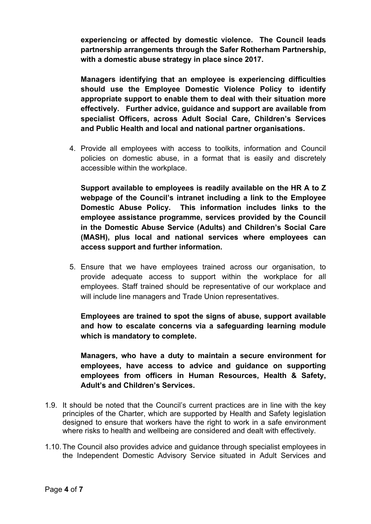**experiencing or affected by domestic violence. The Council leads partnership arrangements through the Safer Rotherham Partnership, with a domestic abuse strategy in place since 2017.**

**Managers identifying that an employee is experiencing difficulties should use the Employee Domestic Violence Policy to identify appropriate support to enable them to deal with their situation more effectively. Further advice, guidance and support are available from specialist Officers, across Adult Social Care, Children's Services and Public Health and local and national partner organisations.**

4. Provide all employees with access to toolkits, information and Council policies on domestic abuse, in a format that is easily and discretely accessible within the workplace.

**Support available to employees is readily available on the HR A to Z webpage of the Council's intranet including a link to the Employee Domestic Abuse Policy. This information includes links to the employee assistance programme, services provided by the Council in the Domestic Abuse Service (Adults) and Children's Social Care (MASH), plus local and national services where employees can access support and further information.**

5. Ensure that we have employees trained across our organisation, to provide adequate access to support within the workplace for all employees. Staff trained should be representative of our workplace and will include line managers and Trade Union representatives.

**Employees are trained to spot the signs of abuse, support available and how to escalate concerns via a safeguarding learning module which is mandatory to complete.** 

**Managers, who have a duty to maintain a secure environment for employees, have access to advice and guidance on supporting employees from officers in Human Resources, Health & Safety, Adult's and Children's Services.**

- 1.9. It should be noted that the Council's current practices are in line with the key principles of the Charter, which are supported by Health and Safety legislation designed to ensure that workers have the right to work in a safe environment where risks to health and wellbeing are considered and dealt with effectively.
- 1.10.The Council also provides advice and guidance through specialist employees in the Independent Domestic Advisory Service situated in Adult Services and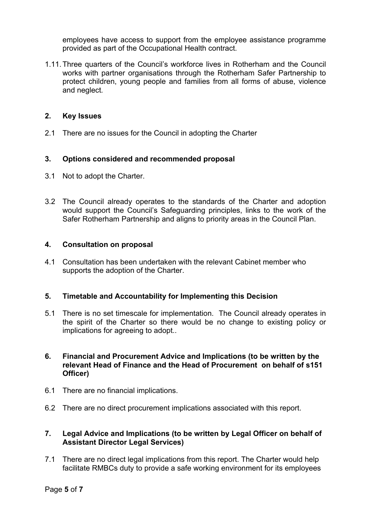employees have access to support from the employee assistance programme provided as part of the Occupational Health contract.

1.11.Three quarters of the Council's workforce lives in Rotherham and the Council works with partner organisations through the Rotherham Safer Partnership to protect children, young people and families from all forms of abuse, violence and neglect*.*

# **2. Key Issues**

2.1 There are no issues for the Council in adopting the Charter

# **3. Options considered and recommended proposal**

- 3.1 Not to adopt the Charter.
- 3.2 The Council already operates to the standards of the Charter and adoption would support the Council's Safeguarding principles, links to the work of the Safer Rotherham Partnership and aligns to priority areas in the Council Plan.

# **4. Consultation on proposal**

4.1 Consultation has been undertaken with the relevant Cabinet member who supports the adoption of the Charter.

# **5. Timetable and Accountability for Implementing this Decision**

5.1 There is no set timescale for implementation. The Council already operates in the spirit of the Charter so there would be no change to existing policy or implications for agreeing to adopt..

# **6. Financial and Procurement Advice and Implications (to be written by the relevant Head of Finance and the Head of Procurement on behalf of s151 Officer)**

- 6.1 There are no financial implications.
- 6.2 There are no direct procurement implications associated with this report.

# **7. Legal Advice and Implications (to be written by Legal Officer on behalf of Assistant Director Legal Services)**

7.1 There are no direct legal implications from this report. The Charter would help facilitate RMBCs duty to provide a safe working environment for its employees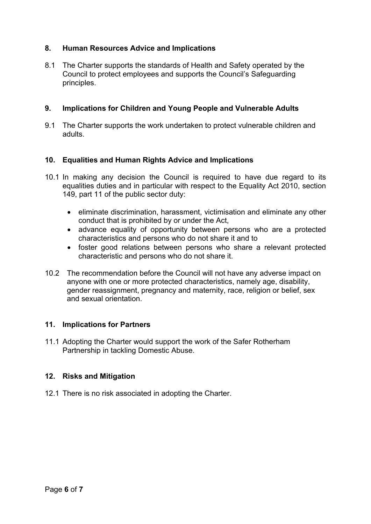# **8. Human Resources Advice and Implications**

8.1 The Charter supports the standards of Health and Safety operated by the Council to protect employees and supports the Council's Safeguarding principles.

# **9. Implications for Children and Young People and Vulnerable Adults**

9.1 The Charter supports the work undertaken to protect vulnerable children and adults.

# **10. Equalities and Human Rights Advice and Implications**

- 10.1 In making any decision the Council is required to have due regard to its equalities duties and in particular with respect to the Equality Act 2010, section 149, part 11 of the public sector duty:
	- eliminate discrimination, harassment, victimisation and eliminate any other conduct that is prohibited by or under the Act,
	- advance equality of opportunity between persons who are a protected characteristics and persons who do not share it and to
	- foster good relations between persons who share a relevant protected characteristic and persons who do not share it.
- 10.2 The recommendation before the Council will not have any adverse impact on anyone with one or more protected characteristics, namely age, disability, gender reassignment, pregnancy and maternity, race, religion or belief, sex and sexual orientation.

# **11. Implications for Partners**

11.1 Adopting the Charter would support the work of the Safer Rotherham Partnership in tackling Domestic Abuse.

# **12. Risks and Mitigation**

12.1 There is no risk associated in adopting the Charter.